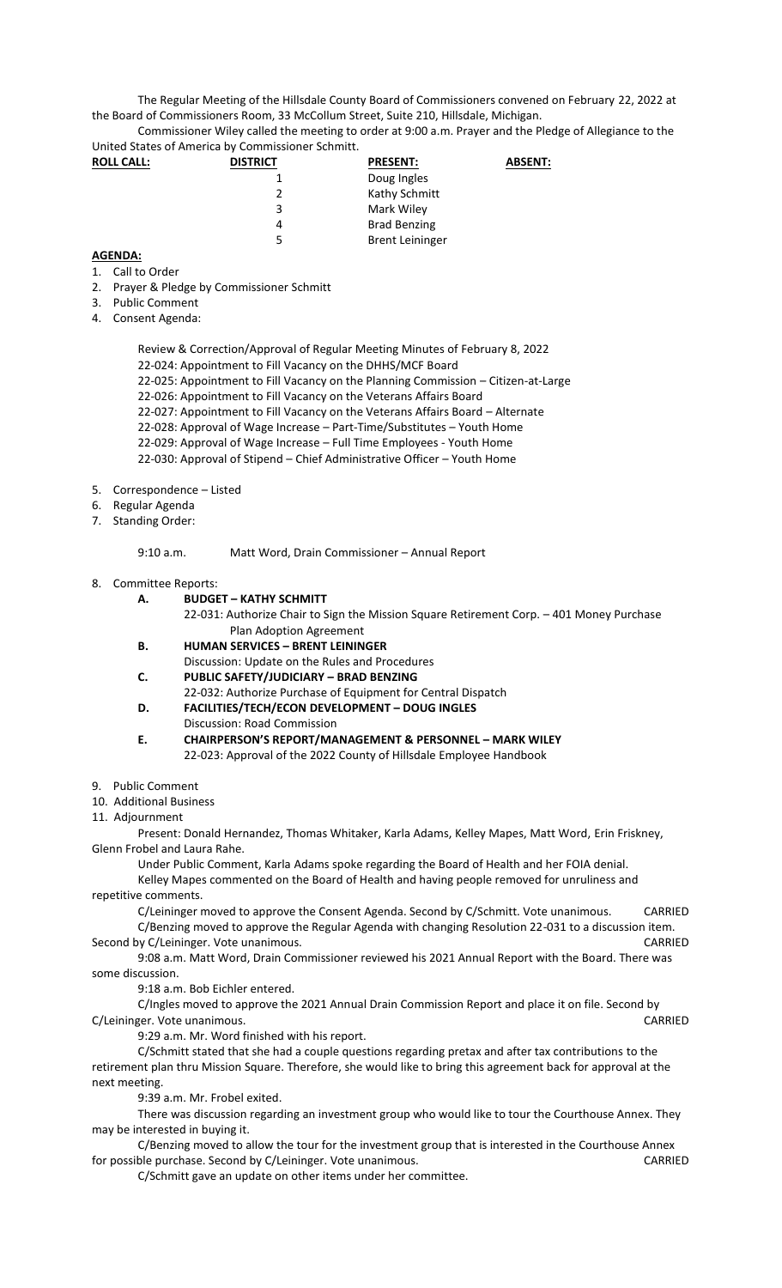The Regular Meeting of the Hillsdale County Board of Commissioners convened on February 22, 2022 at the Board of Commissioners Room, 33 McCollum Street, Suite 210, Hillsdale, Michigan.

Commissioner Wiley called the meeting to order at 9:00 a.m. Prayer and the Pledge of Allegiance to the United States of America by Commissioner Schmitt.

| <b>ROLL CALL:</b> | <b>DISTRICT</b> | <b>PRESENT:</b>        | <b>ABSENT:</b> |
|-------------------|-----------------|------------------------|----------------|
|                   |                 | Doug Ingles            |                |
|                   | Σ.              | Kathy Schmitt          |                |
|                   | 3               | Mark Wiley             |                |
|                   | 4               | <b>Brad Benzing</b>    |                |
|                   | 5               | <b>Brent Leininger</b> |                |

## **AGENDA:**

- 1. Call to Order
- 2. Prayer & Pledge by Commissioner Schmitt
- 3. Public Comment
- 4. Consent Agenda:

Review & Correction/Approval of Regular Meeting Minutes of February 8, 2022

- 22-024: Appointment to Fill Vacancy on the DHHS/MCF Board
- 22-025: Appointment to Fill Vacancy on the Planning Commission Citizen-at-Large
- 22-026: Appointment to Fill Vacancy on the Veterans Affairs Board

22-027: Appointment to Fill Vacancy on the Veterans Affairs Board – Alternate

- 22-028: Approval of Wage Increase Part-Time/Substitutes Youth Home
- 22-029: Approval of Wage Increase Full Time Employees Youth Home
- 22-030: Approval of Stipend Chief Administrative Officer Youth Home
- 5. Correspondence Listed
- 6. Regular Agenda
- 7. Standing Order:

9:10 a.m. Matt Word, Drain Commissioner – Annual Report

## 8. Committee Reports:

- **A. BUDGET – KATHY SCHMITT**
	- 22-031: Authorize Chair to Sign the Mission Square Retirement Corp. 401 Money Purchase Plan Adoption Agreement
- **B. HUMAN SERVICES – BRENT LEININGER**
- Discussion: Update on the Rules and Procedures
- **C. PUBLIC SAFETY/JUDICIARY – BRAD BENZING**
- 22-032: Authorize Purchase of Equipment for Central Dispatch
- **D. FACILITIES/TECH/ECON DEVELOPMENT – DOUG INGLES** Discussion: Road Commission
- **E. CHAIRPERSON'S REPORT/MANAGEMENT & PERSONNEL – MARK WILEY** 22-023: Approval of the 2022 County of Hillsdale Employee Handbook

9. Public Comment

- 10. Additional Business
- 11. Adjournment

Present: Donald Hernandez, Thomas Whitaker, Karla Adams, Kelley Mapes, Matt Word, Erin Friskney, Glenn Frobel and Laura Rahe.

Under Public Comment, Karla Adams spoke regarding the Board of Health and her FOIA denial.

Kelley Mapes commented on the Board of Health and having people removed for unruliness and repetitive comments.

C/Leininger moved to approve the Consent Agenda. Second by C/Schmitt. Vote unanimous. CARRIED C/Benzing moved to approve the Regular Agenda with changing Resolution 22-031 to a discussion item. Second by C/Leininger. Vote unanimous. CARRIED

9:08 a.m. Matt Word, Drain Commissioner reviewed his 2021 Annual Report with the Board. There was some discussion.

9:18 a.m. Bob Eichler entered.

C/Ingles moved to approve the 2021 Annual Drain Commission Report and place it on file. Second by C/Leininger. Vote unanimous. CARRIED

9:29 a.m. Mr. Word finished with his report.

C/Schmitt stated that she had a couple questions regarding pretax and after tax contributions to the retirement plan thru Mission Square. Therefore, she would like to bring this agreement back for approval at the next meeting.

9:39 a.m. Mr. Frobel exited.

There was discussion regarding an investment group who would like to tour the Courthouse Annex. They may be interested in buying it.

C/Benzing moved to allow the tour for the investment group that is interested in the Courthouse Annex for possible purchase. Second by C/Leininger. Vote unanimous. The matrix of the control of the CARRIED

C/Schmitt gave an update on other items under her committee.